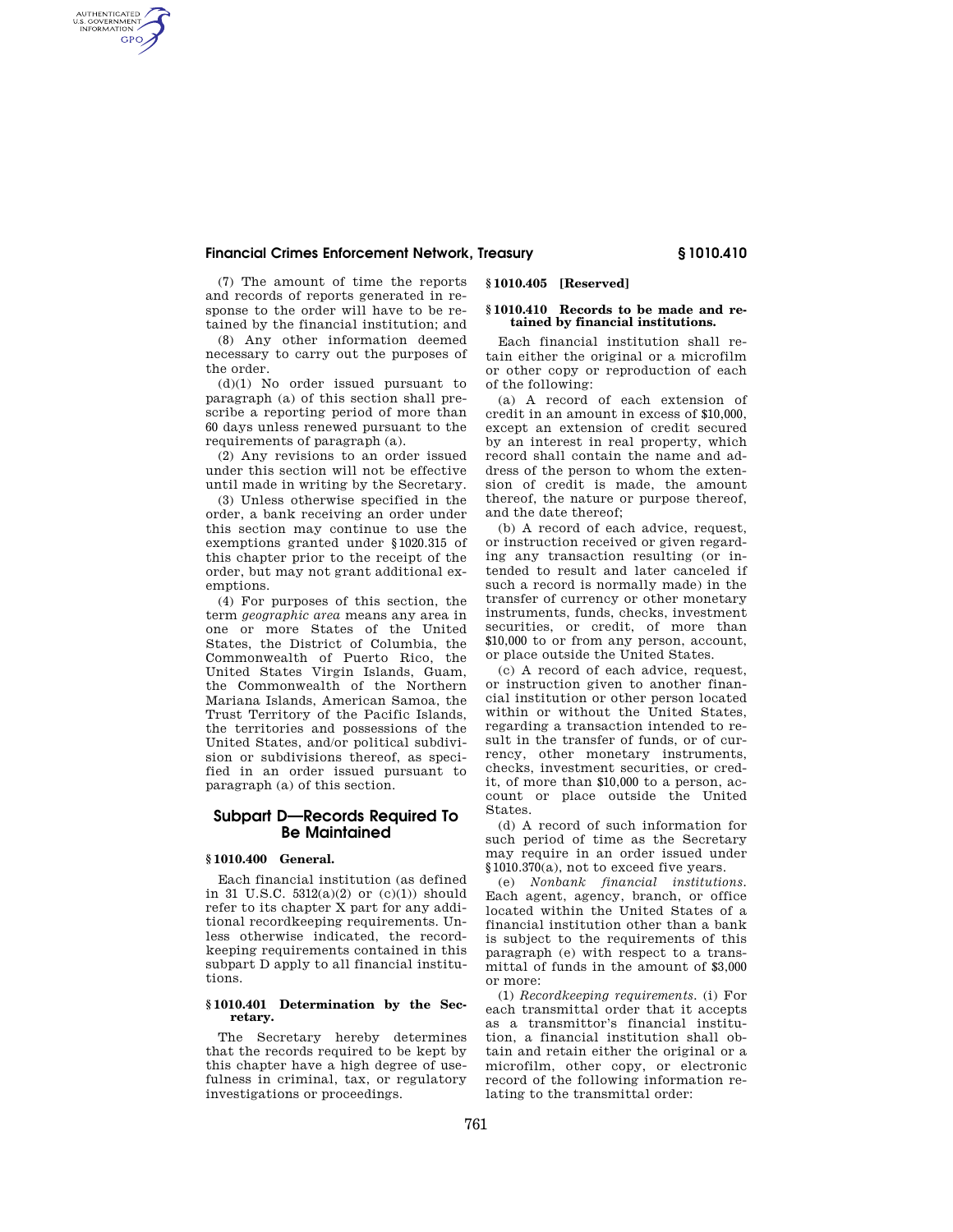## **Financial Crimes Enforcement Network, Treasury § 1010.410**

(7) The amount of time the reports and records of reports generated in response to the order will have to be retained by the financial institution; and

AUTHENTICATED<br>U.S. GOVERNMENT<br>INFORMATION **GPO** 

> (8) Any other information deemed necessary to carry out the purposes of the order.

> (d)(1) No order issued pursuant to paragraph (a) of this section shall prescribe a reporting period of more than 60 days unless renewed pursuant to the requirements of paragraph (a).

> (2) Any revisions to an order issued under this section will not be effective until made in writing by the Secretary.

> (3) Unless otherwise specified in the order, a bank receiving an order under this section may continue to use the exemptions granted under §1020.315 of this chapter prior to the receipt of the order, but may not grant additional exemptions.

> (4) For purposes of this section, the term *geographic area* means any area in one or more States of the United States, the District of Columbia, the Commonwealth of Puerto Rico, the United States Virgin Islands, Guam, the Commonwealth of the Northern Mariana Islands, American Samoa, the Trust Territory of the Pacific Islands, the territories and possessions of the United States, and/or political subdivision or subdivisions thereof, as specified in an order issued pursuant to paragraph (a) of this section.

## **Subpart D—Records Required To Be Maintained**

## **§ 1010.400 General.**

Each financial institution (as defined in 31 U.S.C.  $5312(a)(2)$  or  $(c)(1)$  should refer to its chapter X part for any additional recordkeeping requirements. Unless otherwise indicated, the recordkeeping requirements contained in this subpart D apply to all financial institutions.

### **§ 1010.401 Determination by the Secretary.**

The Secretary hereby determines that the records required to be kept by this chapter have a high degree of usefulness in criminal, tax, or regulatory investigations or proceedings.

### **§ 1010.405 [Reserved]**

## **§ 1010.410 Records to be made and retained by financial institutions.**

Each financial institution shall retain either the original or a microfilm or other copy or reproduction of each of the following:

(a) A record of each extension of credit in an amount in excess of \$10,000, except an extension of credit secured by an interest in real property, which record shall contain the name and address of the person to whom the extension of credit is made, the amount thereof, the nature or purpose thereof, and the date thereof;

(b) A record of each advice, request, or instruction received or given regarding any transaction resulting (or intended to result and later canceled if such a record is normally made) in the transfer of currency or other monetary instruments, funds, checks, investment securities, or credit, of more than \$10,000 to or from any person, account, or place outside the United States.

(c) A record of each advice, request, or instruction given to another financial institution or other person located within or without the United States, regarding a transaction intended to result in the transfer of funds, or of currency, other monetary instruments, checks, investment securities, or credit, of more than \$10,000 to a person, account or place outside the United States.

(d) A record of such information for such period of time as the Secretary may require in an order issued under §1010.370(a), not to exceed five years.

(e) *Nonbank financial institutions.*  Each agent, agency, branch, or office located within the United States of a financial institution other than a bank is subject to the requirements of this paragraph (e) with respect to a transmittal of funds in the amount of \$3,000 or more:

(1) *Recordkeeping requirements.* (i) For each transmittal order that it accepts as a transmittor's financial institution, a financial institution shall obtain and retain either the original or a microfilm, other copy, or electronic record of the following information relating to the transmittal order: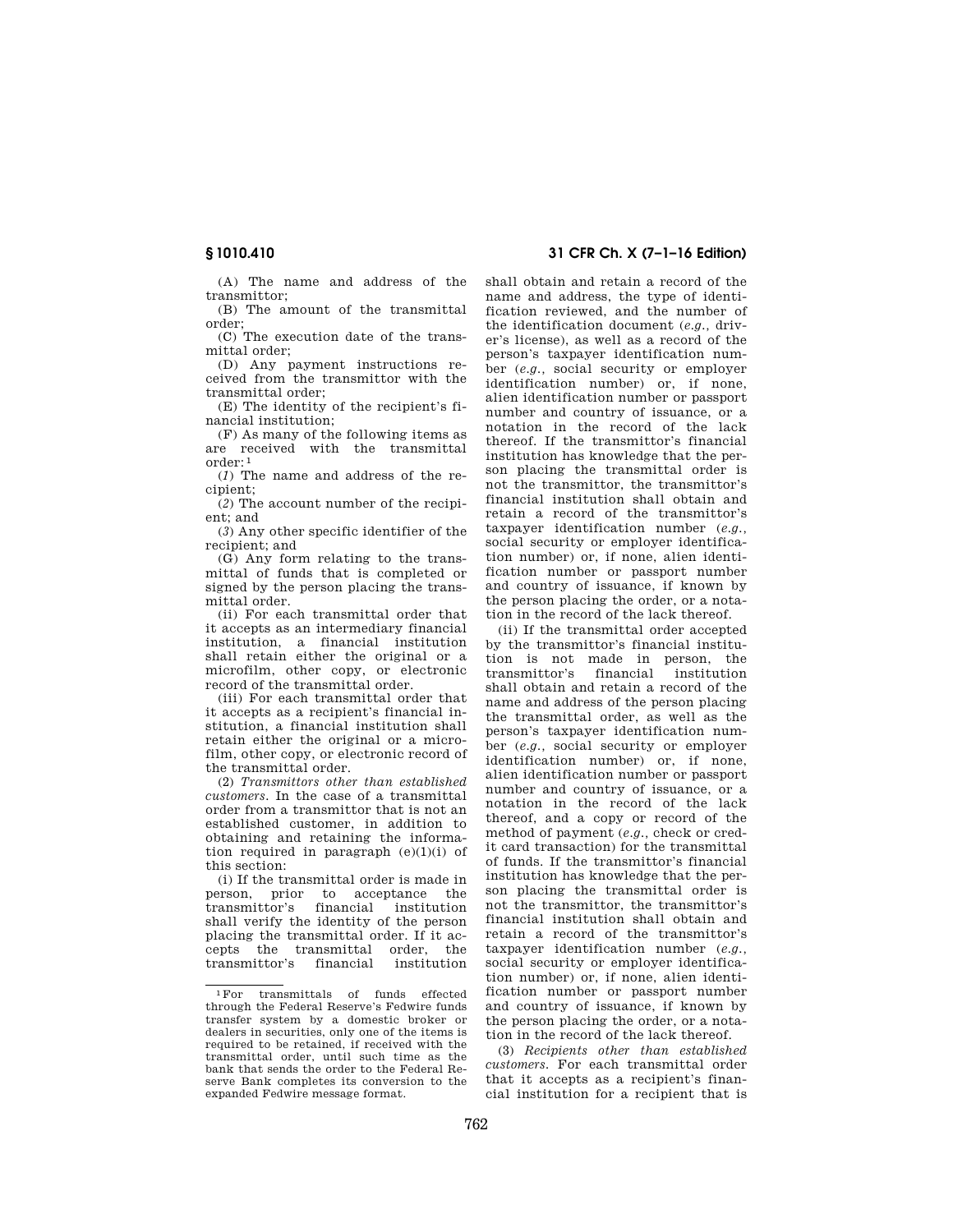(A) The name and address of the transmittor;

(B) The amount of the transmittal order;

(C) The execution date of the transmittal order;

(D) Any payment instructions received from the transmittor with the transmittal order;

(E) The identity of the recipient's financial institution;

(F) As many of the following items as are received with the transmittal order: 1

(*1*) The name and address of the recipient;

(*2*) The account number of the recipient; and

(*3*) Any other specific identifier of the recipient; and

(G) Any form relating to the transmittal of funds that is completed or signed by the person placing the transmittal order.

(ii) For each transmittal order that it accepts as an intermediary financial institution, a financial institution shall retain either the original or a microfilm, other copy, or electronic record of the transmittal order.

(iii) For each transmittal order that it accepts as a recipient's financial institution, a financial institution shall retain either the original or a microfilm, other copy, or electronic record of the transmittal order.

(2) *Transmittors other than established customers.* In the case of a transmittal order from a transmittor that is not an established customer, in addition to obtaining and retaining the information required in paragraph (e)(1)(i) of this section:

(i) If the transmittal order is made in person, prior to acceptance the transmittor's financial institution shall verify the identity of the person placing the transmittal order. If it accepts the transmittal order, the transmittor's financial institution

# **§ 1010.410 31 CFR Ch. X (7–1–16 Edition)**

shall obtain and retain a record of the name and address, the type of identification reviewed, and the number of the identification document (*e.g.,* driver's license), as well as a record of the person's taxpayer identification number (*e.g.,* social security or employer identification number) or, if none, alien identification number or passport number and country of issuance, or a notation in the record of the lack thereof. If the transmittor's financial institution has knowledge that the person placing the transmittal order is not the transmittor, the transmittor's financial institution shall obtain and retain a record of the transmittor's taxpayer identification number (*e.g.,*  social security or employer identification number) or, if none, alien identification number or passport number and country of issuance, if known by the person placing the order, or a notation in the record of the lack thereof.

(ii) If the transmittal order accepted by the transmittor's financial institution is not made in person, the transmittor's financial institution shall obtain and retain a record of the name and address of the person placing the transmittal order, as well as the person's taxpayer identification number (*e.g.,* social security or employer identification number) or, if none, alien identification number or passport number and country of issuance, or a notation in the record of the lack thereof, and a copy or record of the method of payment (*e.g.,* check or credit card transaction) for the transmittal of funds. If the transmittor's financial institution has knowledge that the person placing the transmittal order is not the transmittor, the transmittor's financial institution shall obtain and retain a record of the transmittor's taxpayer identification number (*e.g.,*  social security or employer identification number) or, if none, alien identification number or passport number and country of issuance, if known by the person placing the order, or a notation in the record of the lack thereof.

(3) *Recipients other than established customers.* For each transmittal order that it accepts as a recipient's financial institution for a recipient that is

<sup>1</sup>For transmittals of funds effected through the Federal Reserve's Fedwire funds transfer system by a domestic broker or dealers in securities, only one of the items is required to be retained, if received with the transmittal order, until such time as the bank that sends the order to the Federal Reserve Bank completes its conversion to the expanded Fedwire message format.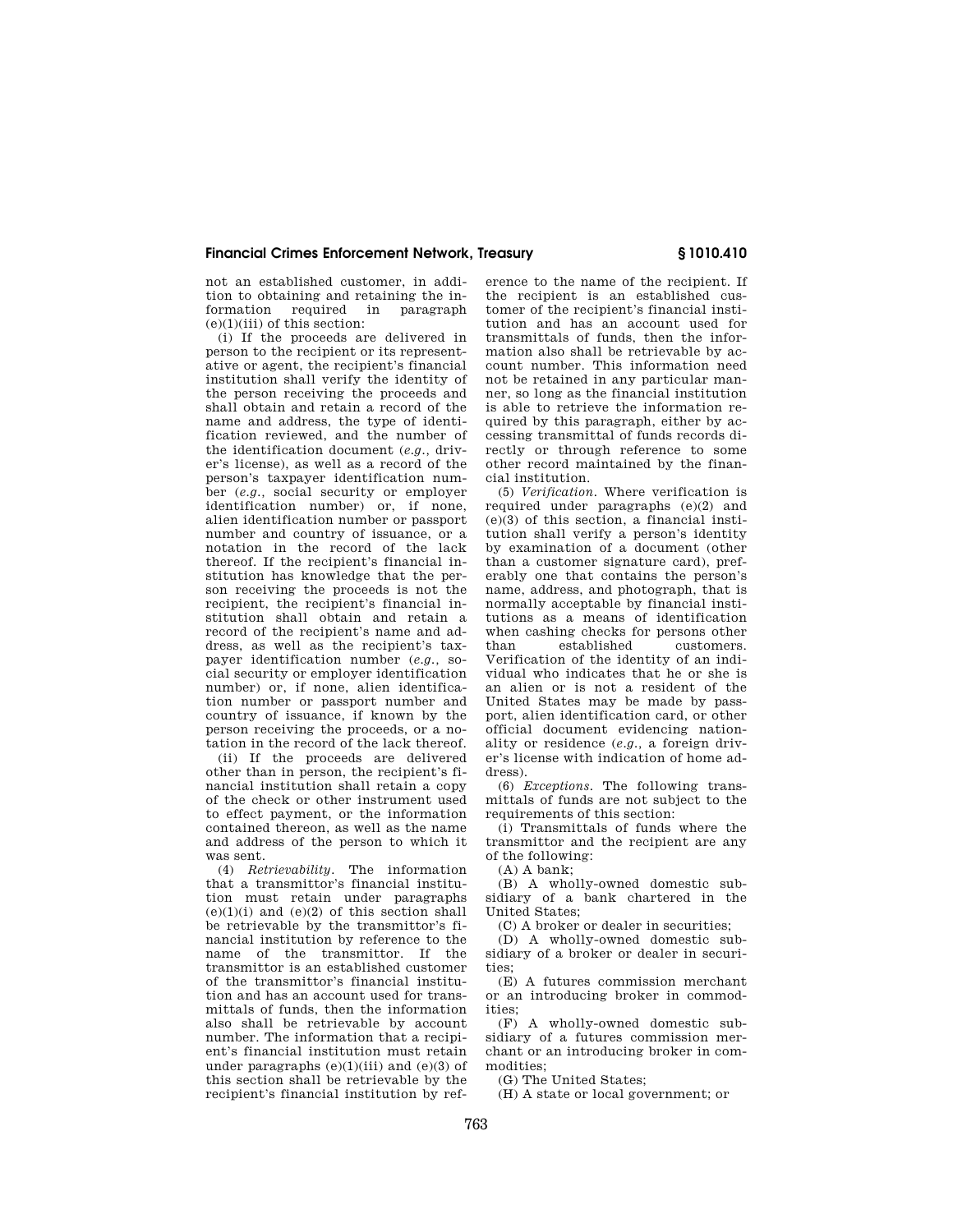## **Financial Crimes Enforcement Network, Treasury § 1010.410**

not an established customer, in addition to obtaining and retaining the information required in paragraph  $(e)(1)(iii)$  of this section:

(i) If the proceeds are delivered in person to the recipient or its representative or agent, the recipient's financial institution shall verify the identity of the person receiving the proceeds and shall obtain and retain a record of the name and address, the type of identification reviewed, and the number of the identification document (*e.g.,* driver's license), as well as a record of the person's taxpayer identification number (*e.g.,* social security or employer identification number) or, if none, alien identification number or passport number and country of issuance, or a notation in the record of the lack thereof. If the recipient's financial institution has knowledge that the person receiving the proceeds is not the recipient, the recipient's financial institution shall obtain and retain a record of the recipient's name and address, as well as the recipient's taxpayer identification number (*e.g.,* social security or employer identification number) or, if none, alien identification number or passport number and country of issuance, if known by the person receiving the proceeds, or a notation in the record of the lack thereof.

(ii) If the proceeds are delivered other than in person, the recipient's financial institution shall retain a copy of the check or other instrument used to effect payment, or the information contained thereon, as well as the name and address of the person to which it was sent.

(4) *Retrievability.* The information that a transmittor's financial institution must retain under paragraphs  $(e)(1)(i)$  and  $(e)(2)$  of this section shall be retrievable by the transmittor's financial institution by reference to the name of the transmittor. If the transmittor is an established customer of the transmittor's financial institution and has an account used for transmittals of funds, then the information also shall be retrievable by account number. The information that a recipient's financial institution must retain under paragraphs  $(e)(1)(iii)$  and  $(e)(3)$  of this section shall be retrievable by the recipient's financial institution by ref-

erence to the name of the recipient. If the recipient is an established customer of the recipient's financial institution and has an account used for transmittals of funds, then the information also shall be retrievable by account number. This information need not be retained in any particular manner, so long as the financial institution is able to retrieve the information required by this paragraph, either by accessing transmittal of funds records directly or through reference to some other record maintained by the financial institution.

(5) *Verification.* Where verification is required under paragraphs (e)(2) and  $(e)(3)$  of this section, a financial institution shall verify a person's identity by examination of a document (other than a customer signature card), preferably one that contains the person's name, address, and photograph, that is normally acceptable by financial institutions as a means of identification when cashing checks for persons other than established customers. Verification of the identity of an individual who indicates that he or she is an alien or is not a resident of the United States may be made by passport, alien identification card, or other official document evidencing nationality or residence (*e.g.,* a foreign driver's license with indication of home address).

(6) *Exceptions.* The following transmittals of funds are not subject to the requirements of this section:

(i) Transmittals of funds where the transmittor and the recipient are any of the following:

(A) A bank;

(B) A wholly-owned domestic subsidiary of a bank chartered in the United States;

(C) A broker or dealer in securities;

(D) A wholly-owned domestic subsidiary of a broker or dealer in securities;

(E) A futures commission merchant or an introducing broker in commodities;

(F) A wholly-owned domestic subsidiary of a futures commission merchant or an introducing broker in commodities;

(G) The United States;

(H) A state or local government; or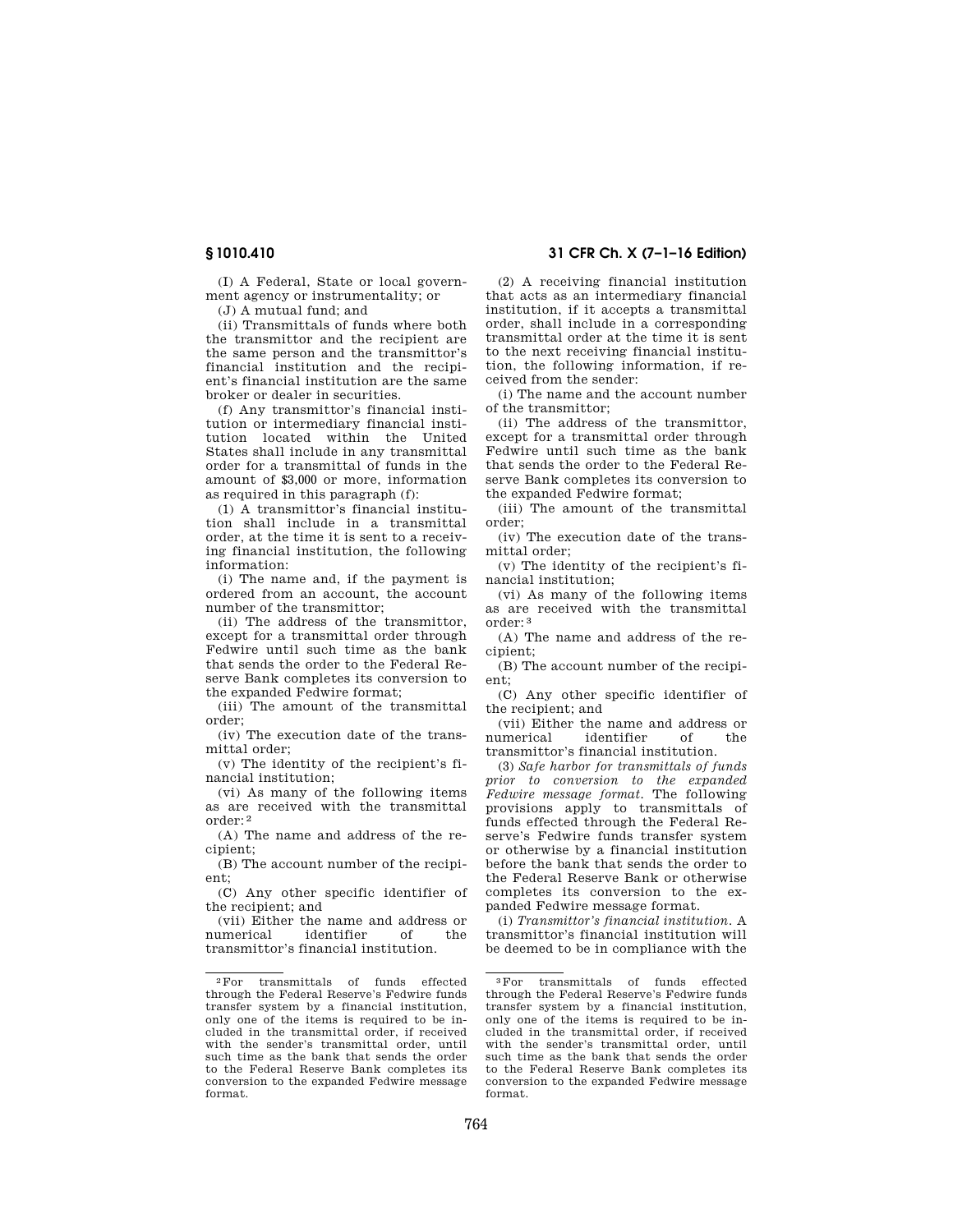(I) A Federal, State or local government agency or instrumentality; or

(J) A mutual fund; and

(ii) Transmittals of funds where both the transmittor and the recipient are the same person and the transmittor's financial institution and the recipient's financial institution are the same broker or dealer in securities.

(f) Any transmittor's financial institution or intermediary financial institution located within the United States shall include in any transmittal order for a transmittal of funds in the amount of \$3,000 or more, information as required in this paragraph (f):

(1) A transmittor's financial institution shall include in a transmittal order, at the time it is sent to a receiving financial institution, the following information:

(i) The name and, if the payment is ordered from an account, the account number of the transmittor;

(ii) The address of the transmittor, except for a transmittal order through Fedwire until such time as the bank that sends the order to the Federal Reserve Bank completes its conversion to the expanded Fedwire format;

(iii) The amount of the transmittal order;

(iv) The execution date of the transmittal order;

(v) The identity of the recipient's financial institution;

(vi) As many of the following items as are received with the transmittal order: 2

(A) The name and address of the recipient;

(B) The account number of the recipient;

(C) Any other specific identifier of the recipient; and

(vii) Either the name and address or numerical identifier of the transmittor's financial institution.

# **§ 1010.410 31 CFR Ch. X (7–1–16 Edition)**

(2) A receiving financial institution that acts as an intermediary financial institution, if it accepts a transmittal order, shall include in a corresponding transmittal order at the time it is sent to the next receiving financial institution, the following information, if received from the sender:

(i) The name and the account number of the transmittor;

(ii) The address of the transmittor, except for a transmittal order through Fedwire until such time as the bank that sends the order to the Federal Reserve Bank completes its conversion to the expanded Fedwire format;

(iii) The amount of the transmittal order;

(iv) The execution date of the transmittal order;

(v) The identity of the recipient's financial institution;

(vi) As many of the following items as are received with the transmittal order: 3

(A) The name and address of the recipient;

(B) The account number of the recipient;

(C) Any other specific identifier of the recipient; and

(vii) Either the name and address or numerical identifier of the transmittor's financial institution.

(3) *Safe harbor for transmittals of funds prior to conversion to the expanded Fedwire message format.* The following provisions apply to transmittals of funds effected through the Federal Reserve's Fedwire funds transfer system or otherwise by a financial institution before the bank that sends the order to the Federal Reserve Bank or otherwise completes its conversion to the expanded Fedwire message format.

(i) *Transmittor's financial institution.* A transmittor's financial institution will be deemed to be in compliance with the

<sup>2</sup>For transmittals of funds effected through the Federal Reserve's Fedwire funds transfer system by a financial institution, only one of the items is required to be included in the transmittal order, if received with the sender's transmittal order, until such time as the bank that sends the order to the Federal Reserve Bank completes its conversion to the expanded Fedwire message format.

<sup>3</sup>For transmittals of funds effected through the Federal Reserve's Fedwire funds transfer system by a financial institution, only one of the items is required to be included in the transmittal order, if received with the sender's transmittal order, until such time as the bank that sends the order to the Federal Reserve Bank completes its conversion to the expanded Fedwire message format.